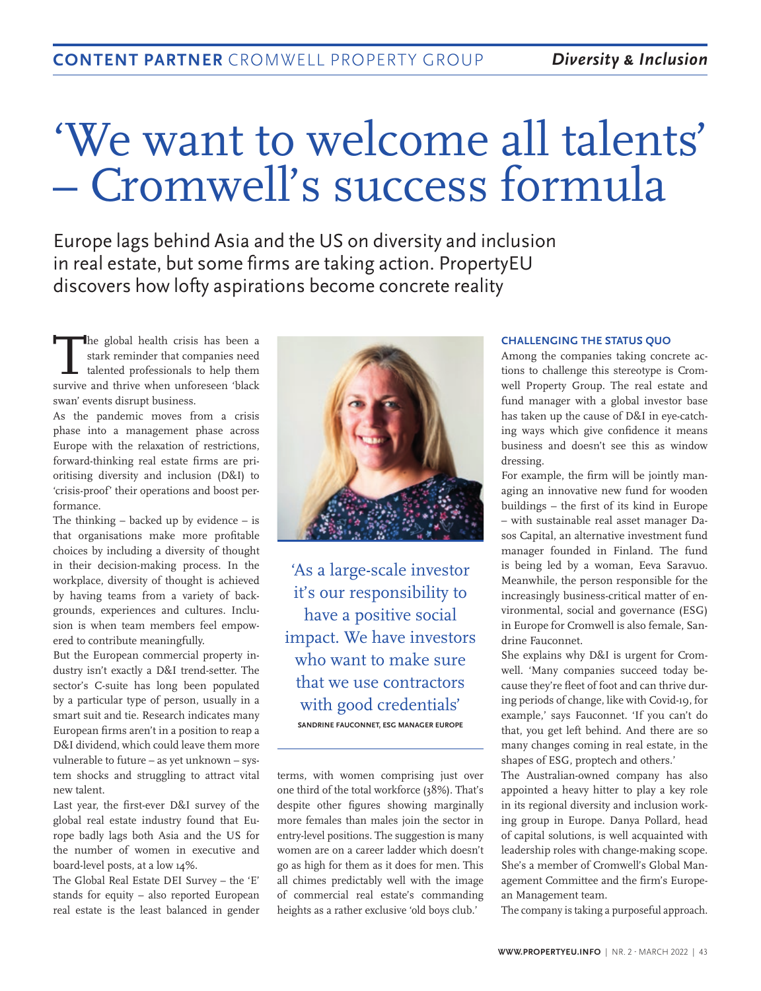# 'We want to welcome all talents' – Cromwell's success formula

Europe lags behind Asia and the US on diversity and inclusion in real estate, but some firms are taking action. PropertyEU discovers how lofty aspirations become concrete reality

The global health crisis has been a<br>stark reminder that companies need<br>talented professionals to help them stark reminder that companies need talented professionals to help them survive and thrive when unforeseen 'black swan' events disrupt business.

As the pandemic moves from a crisis phase into a management phase across Europe with the relaxation of restrictions, forward-thinking real estate firms are prioritising diversity and inclusion (D&I) to 'crisis-proof' their operations and boost performance.

The thinking  $-$  backed up by evidence  $-$  is that organisations make more profitable choices by including a diversity of thought in their decision-making process. In the workplace, diversity of thought is achieved by having teams from a variety of backgrounds, experiences and cultures. Inclusion is when team members feel empowered to contribute meaningfully.

But the European commercial property industry isn't exactly a D&I trend-setter. The sector's C-suite has long been populated by a particular type of person, usually in a smart suit and tie. Research indicates many European firms aren't in a position to reap a D&I dividend, which could leave them more vulnerable to future – as yet unknown – system shocks and struggling to attract vital new talent.

Last year, the first-ever D&I survey of the global real estate industry found that Europe badly lags both Asia and the US for the number of women in executive and board-level posts, at a low 14%.

The Global Real Estate DEI Survey – the 'E' stands for equity – also reported European real estate is the least balanced in gender



'As a large-scale investor it's our responsibility to have a positive social impact. We have investors who want to make sure that we use contractors with good credentials' **SANDRINE FAUCONNET, ESG MANAGER EUROPE** 

terms, with women comprising just over one third of the total workforce (38%). That's despite other figures showing marginally more females than males join the sector in entry-level positions. The suggestion is many women are on a career ladder which doesn't go as high for them as it does for men. This all chimes predictably well with the image of commercial real estate's commanding heights as a rather exclusive 'old boys club.'

#### **CHALLENGING THE STATUS QUO**

Among the companies taking concrete actions to challenge this stereotype is Cromwell Property Group. The real estate and fund manager with a global investor base has taken up the cause of D&I in eye-catching ways which give confidence it means business and doesn't see this as window dressing.

For example, the firm will be jointly managing an innovative new fund for wooden buildings – the first of its kind in Europe – with sustainable real asset manager Dasos Capital, an alternative investment fund manager founded in Finland. The fund is being led by a woman, Eeva Saravuo. Meanwhile, the person responsible for the increasingly business-critical matter of environmental, social and governance (ESG) in Europe for Cromwell is also female, Sandrine Fauconnet.

She explains why D&I is urgent for Cromwell. 'Many companies succeed today because they're fleet of foot and can thrive during periods of change, like with Covid-19, for example,' says Fauconnet. 'If you can't do that, you get left behind. And there are so many changes coming in real estate, in the shapes of ESG, proptech and others.'

The Australian-owned company has also appointed a heavy hitter to play a key role in its regional diversity and inclusion working group in Europe. Danya Pollard, head of capital solutions, is well acquainted with leadership roles with change-making scope. She's a member of Cromwell's Global Management Committee and the firm's European Management team.

The company is taking a purposeful approach.